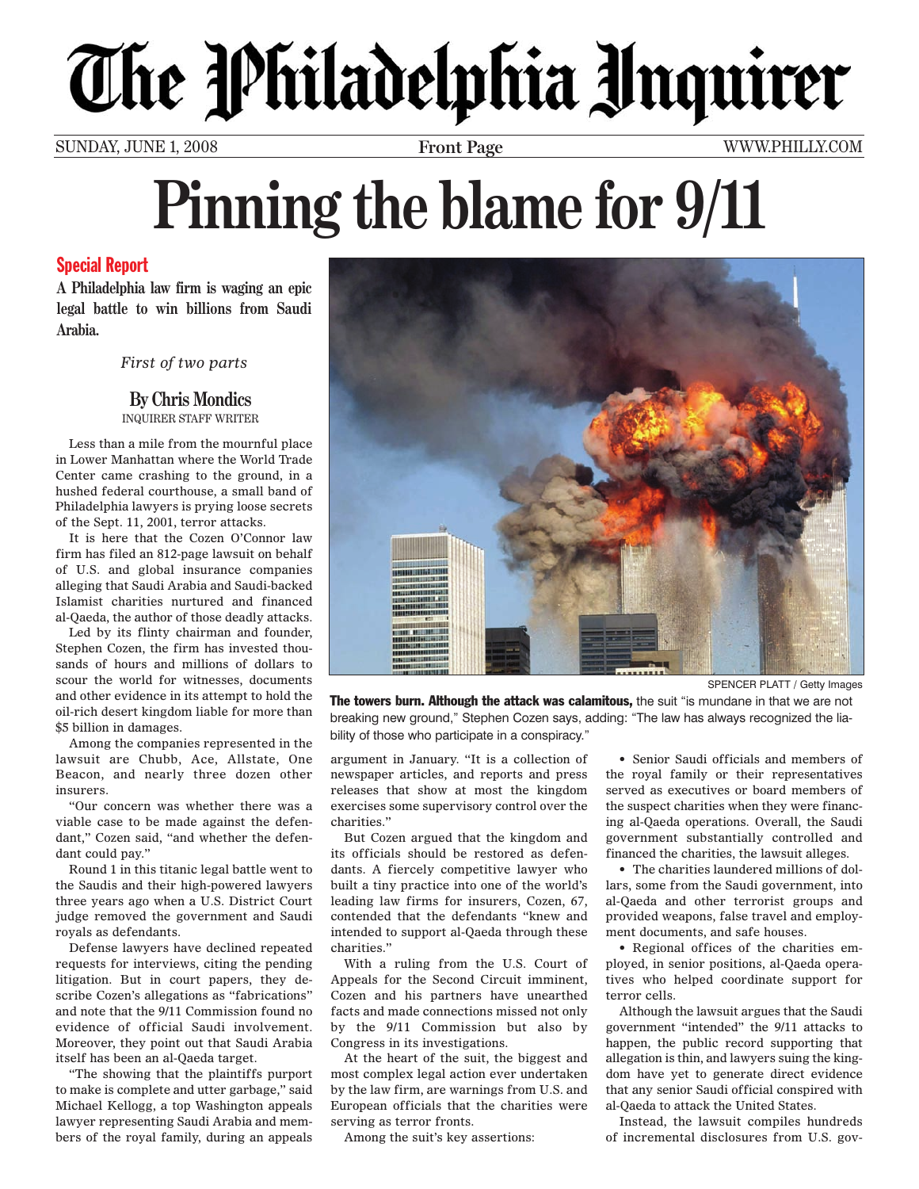# **The Philadelphia Unquirer**

# **Pinning the blame for 9/11**

# Special Report

**A Philadelphia law firm is waging an epic legal battle to win billions from Saudi Arabia.**

*First of two parts*

**By Chris Mondics** INQUIRER STAFF WRITER

Less than a mile from the mournful place in Lower Manhattan where the World Trade Center came crashing to the ground, in a hushed federal courthouse, a small band of Philadelphia lawyers is prying loose secrets of the Sept. 11, 2001, terror attacks.

It is here that the Cozen O'Connor law firm has filed an 812-page lawsuit on behalf of U.S. and global insurance companies alleging that Saudi Arabia and Saudi-backed Islamist charities nurtured and financed al-Qaeda, the author of those deadly attacks.

Led by its flinty chairman and founder, Stephen Cozen, the firm has invested thousands of hours and millions of dollars to scour the world for witnesses, documents and other evidence in its attempt to hold the oil-rich desert kingdom liable for more than \$5 billion in damages.

Among the companies represented in the lawsuit are Chubb, Ace, Allstate, One Beacon, and nearly three dozen other insurers.

"Our concern was whether there was a viable case to be made against the defendant," Cozen said, "and whether the defendant could pay."

Round 1 in this titanic legal battle went to the Saudis and their high-powered lawyers three years ago when a U.S. District Court judge removed the government and Saudi royals as defendants.

Defense lawyers have declined repeated requests for interviews, citing the pending litigation. But in court papers, they describe Cozen's allegations as "fabrications" and note that the 9/11 Commission found no evidence of official Saudi involvement. Moreover, they point out that Saudi Arabia itself has been an al-Qaeda target.

"The showing that the plaintiffs purport to make is complete and utter garbage," said Michael Kellogg, a top Washington appeals lawyer representing Saudi Arabia and members of the royal family, during an appeals



SPENCER PLATT / Getty Images

The towers burn. Although the attack was calamitous, the suit "is mundane in that we are not breaking new ground," Stephen Cozen says, adding: "The law has always recognized the liability of those who participate in a conspiracy."

argument in January. "It is a collection of newspaper articles, and reports and press releases that show at most the kingdom exercises some supervisory control over the charities."

But Cozen argued that the kingdom and its officials should be restored as defendants. A fiercely competitive lawyer who built a tiny practice into one of the world's leading law firms for insurers, Cozen, 67, contended that the defendants "knew and intended to support al-Qaeda through these charities."

With a ruling from the U.S. Court of Appeals for the Second Circuit imminent, Cozen and his partners have unearthed facts and made connections missed not only by the 9/11 Commission but also by Congress in its investigations.

At the heart of the suit, the biggest and most complex legal action ever undertaken by the law firm, are warnings from U.S. and European officials that the charities were serving as terror fronts.

Among the suit's key assertions:

• Senior Saudi officials and members of the royal family or their representatives served as executives or board members of the suspect charities when they were financing al-Qaeda operations. Overall, the Saudi government substantially controlled and financed the charities, the lawsuit alleges.

• The charities laundered millions of dollars, some from the Saudi government, into al-Qaeda and other terrorist groups and provided weapons, false travel and employment documents, and safe houses.

• Regional offices of the charities employed, in senior positions, al-Qaeda operatives who helped coordinate support for terror cells.

Although the lawsuit argues that the Saudi government "intended" the 9/11 attacks to happen, the public record supporting that allegation is thin, and lawyers suing the kingdom have yet to generate direct evidence that any senior Saudi official conspired with al-Qaeda to attack the United States.

Instead, the lawsuit compiles hundreds of incremental disclosures from U.S. gov-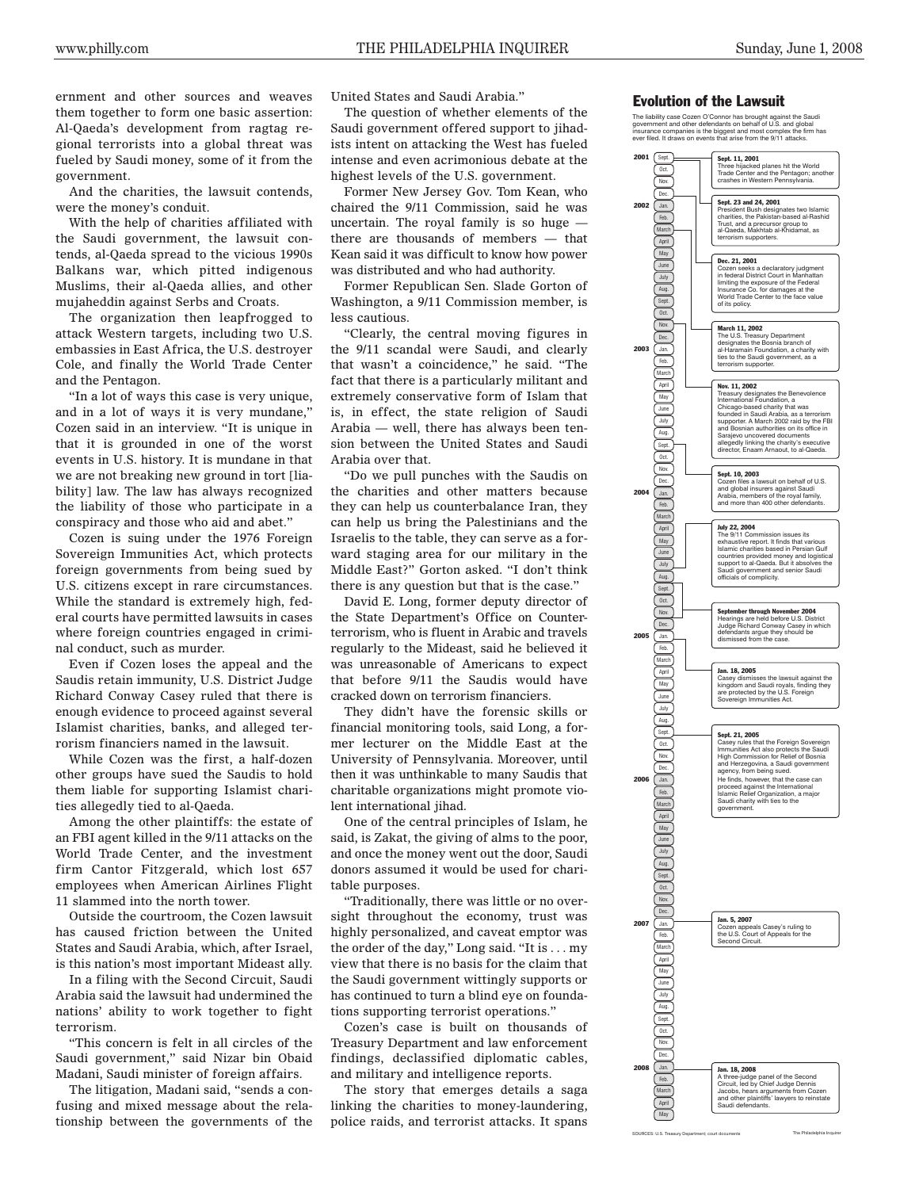# ww.philly.com THE PHILADELPHIA INQUIRER Sunday, June 1, 2008

Primt

ernment and other sources and weaves them together to form one basic assertion: Al-Qaeda's development from ragtag regional terrorists into a global threat was fueled by Saudi money, some of it from the government.

And the charities, the lawsuit contends, were the money's conduit.

With the help of charities affiliated with the Saudi government, the lawsuit contends, al-Qaeda spread to the vicious 1990s Balkans war, which pitted indigenous Muslims, their al-Qaeda allies, and other mujaheddin against Serbs and Croats.

The organization then leapfrogged to attack Western targets, including two U.S. embassies in East Africa, the U.S. destroyer Cole, and finally the World Trade Center and the Pentagon.

"In a lot of ways this case is very unique, and in a lot of ways it is very mundane," Cozen said in an interview. "It is unique in that it is grounded in one of the worst events in U.S. history. It is mundane in that we are not breaking new ground in tort [liability] law. The law has always recognized the liability of those who participate in a conspiracy and those who aid and abet."

Cozen is suing under the 1976 Foreign Sovereign Immunities Act, which protects foreign governments from being sued by U.S. citizens except in rare circumstances. While the standard is extremely high, federal courts have permitted lawsuits in cases where foreign countries engaged in criminal conduct, such as murder.

Even if Cozen loses the appeal and the Saudis retain immunity, U.S. District Judge Richard Conway Casey ruled that there is enough evidence to proceed against several Islamist charities, banks, and alleged terrorism financiers named in the lawsuit.

While Cozen was the first, a half-dozen other groups have sued the Saudis to hold them liable for supporting Islamist charities allegedly tied to al-Qaeda.

Among the other plaintiffs: the estate of an FBI agent killed in the 9/11 attacks on the World Trade Center, and the investment firm Cantor Fitzgerald, which lost 657 employees when American Airlines Flight 11 slammed into the north tower.

Outside the courtroom, the Cozen lawsuit has caused friction between the United States and Saudi Arabia, which, after Israel, is this nation's most important Mideast ally.

In a filing with the Second Circuit, Saudi Arabia said the lawsuit had undermined the nations' ability to work together to fight terrorism.

"This concern is felt in all circles of the Saudi government," said Nizar bin Obaid Madani, Saudi minister of foreign affairs.

The litigation, Madani said, "sends a confusing and mixed message about the relationship between the governments of the United States and Saudi Arabia."

Sin

'For

The question of whether elements of the Saudi government offered support to jihadists intent on attacking the West has fueled intense and even acrimonious debate at the highest levels of the U.S. government.

Former New Jersey Gov. Tom Kean, who chaired the 9/11 Commission, said he was uncertain. The royal family is so huge there are thousands of members — that Kean said it was difficult to know how power was distributed and who had authority.

Former Republican Sen. Slade Gorton of Washington, a 9/11 Commission member, is less cautious.

"Clearly, the central moving figures in the 9/11 scandal were Saudi, and clearly that wasn't a coincidence," he said. "The fact that there is a particularly militant and extremely conservative form of Islam that is, in effect, the state religion of Saudi Arabia — well, there has always been tension between the United States and Saudi Arabia over that.

"Do we pull punches with the Saudis on the charities and other matters because they can help us counterbalance Iran, they can help us bring the Palestinians and the Israelis to the table, they can serve as a forward staging area for our military in the Middle East?" Gorton asked. "I don't think there is any question but that is the case."

David E. Long, former deputy director of the State Department's Office on Counterterrorism, who is fluent in Arabic and travels regularly to the Mideast, said he believed it was unreasonable of Americans to expect that before 9/11 the Saudis would have cracked down on terrorism financiers.

They didn't have the forensic skills or financial monitoring tools, said Long, a former lecturer on the Middle East at the University of Pennsylvania. Moreover, until then it was unthinkable to many Saudis that charitable organizations might promote violent international jihad.

One of the central principles of Islam, he said, is Zakat, the giving of alms to the poor, and once the money went out the door, Saudi donors assumed it would be used for charitable purposes.

"Traditionally, there was little or no oversight throughout the economy, trust was highly personalized, and caveat emptor was the order of the day," Long said. "It is . . . my view that there is no basis for the claim that the Saudi government wittingly supports or has continued to turn a blind eye on foundations supporting terrorist operations."

Cozen's case is built on thousands of Treasury Department and law enforcement findings, declassified diplomatic cables, and military and intelligence reports.

The story that emerges details a saga linking the charities to money-laundering, police raids, and terrorist attacks. It spans

# Evolution of the Lawsuit

The liability case Cozen O'Connor has brought against the Saudi<br>government and other defendants on behalf of U.S. and global<br>insurance companies is the biggest and most complex the firm has<br>lever filed. It draws on events

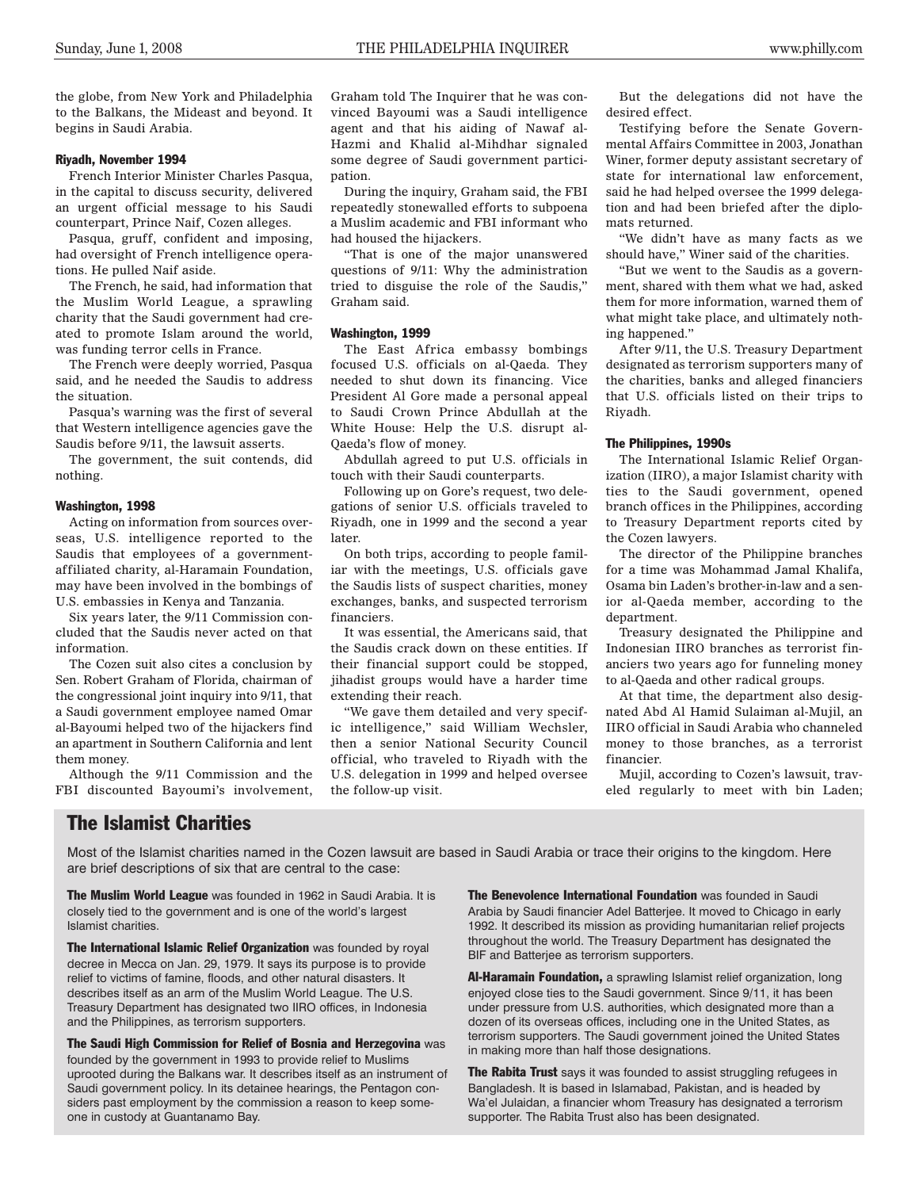# Sunday, June 1, 2008 THE PHILADELPHIA INQUIRER<www.philly.com>

the globe, from New York and Philadelphia to the Balkans, the Mideast and beyond. It begins in Saudi Arabia.

#### Riyadh, November 1994

French Interior Minister Charles Pasqua, in the capital to discuss security, delivered an urgent official message to his Saudi counterpart, Prince Naif, Cozen alleges.

Pasqua, gruff, confident and imposing, had oversight of French intelligence operations. He pulled Naif aside.

The French, he said, had information that the Muslim World League, a sprawling charity that the Saudi government had created to promote Islam around the world, was funding terror cells in France.

The French were deeply worried, Pasqua said, and he needed the Saudis to address the situation.

Pasqua's warning was the first of several that Western intelligence agencies gave the Saudis before 9/11, the lawsuit asserts.

The government, the suit contends, did nothing.

#### Washington, 1998

Acting on information from sources overseas, U.S. intelligence reported to the Saudis that employees of a governmentaffiliated charity, al-Haramain Foundation, may have been involved in the bombings of U.S. embassies in Kenya and Tanzania.

Six years later, the 9/11 Commission concluded that the Saudis never acted on that information.

The Cozen suit also cites a conclusion by Sen. Robert Graham of Florida, chairman of the congressional joint inquiry into 9/11, that a Saudi government employee named Omar al-Bayoumi helped two of the hijackers find an apartment in Southern California and lent them money.

Although the 9/11 Commission and the FBI discounted Bayoumi's involvement, Graham told The Inquirer that he was convinced Bayoumi was a Saudi intelligence agent and that his aiding of Nawaf al-Hazmi and Khalid al-Mihdhar signaled some degree of Saudi government participation.

During the inquiry, Graham said, the FBI repeatedly stonewalled efforts to subpoena a Muslim academic and FBI informant who had housed the hijackers.

"That is one of the major unanswered questions of 9/11: Why the administration tried to disguise the role of the Saudis," Graham said.

#### Washington, 1999

The East Africa embassy bombings focused U.S. officials on al-Qaeda. They needed to shut down its financing. Vice President Al Gore made a personal appeal to Saudi Crown Prince Abdullah at the White House: Help the U.S. disrupt al-Qaeda's flow of money.

Abdullah agreed to put U.S. officials in touch with their Saudi counterparts.

Following up on Gore's request, two delegations of senior U.S. officials traveled to Riyadh, one in 1999 and the second a year later.

On both trips, according to people familiar with the meetings, U.S. officials gave the Saudis lists of suspect charities, money exchanges, banks, and suspected terrorism financiers.

It was essential, the Americans said, that the Saudis crack down on these entities. If their financial support could be stopped, jihadist groups would have a harder time extending their reach.

"We gave them detailed and very specific intelligence," said William Wechsler, then a senior National Security Council official, who traveled to Riyadh with the U.S. delegation in 1999 and helped oversee the follow-up visit.

But the delegations did not have the desired effect.

Testifying before the Senate Governmental Affairs Committee in 2003, Jonathan Winer, former deputy assistant secretary of state for international law enforcement, said he had helped oversee the 1999 delegation and had been briefed after the diplomats returned.

"We didn't have as many facts as we should have," Winer said of the charities.

"But we went to the Saudis as a government, shared with them what we had, asked them for more information, warned them of what might take place, and ultimately nothing happened."

After 9/11, the U.S. Treasury Department designated as terrorism supporters many of the charities, banks and alleged financiers that U.S. officials listed on their trips to Riyadh.

## The Philippines, 1990s

The International Islamic Relief Organization (IIRO), a major Islamist charity with ties to the Saudi government, opened branch offices in the Philippines, according to Treasury Department reports cited by the Cozen lawyers.

The director of the Philippine branches for a time was Mohammad Jamal Khalifa, Osama bin Laden's brother-in-law and a senior al-Qaeda member, according to the department.

Treasury designated the Philippine and Indonesian IIRO branches as terrorist financiers two years ago for funneling money to al-Qaeda and other radical groups.

At that time, the department also designated Abd Al Hamid Sulaiman al-Mujil, an IIRO official in Saudi Arabia who channeled money to those branches, as a terrorist financier.

Mujil, according to Cozen's lawsuit, traveled regularly to meet with bin Laden;

# The Islamist Charities

Most of the Islamist charities named in the Cozen lawsuit are based in Saudi Arabia or trace their origins to the kingdom. Here are brief descriptions of six that are central to the case:

**The Muslim World League** was founded in 1962 in Saudi Arabia. It is closely tied to the government and is one of the world's largest Islamist charities.

The International Islamic Relief Organization was founded by royal decree in Mecca on Jan. 29, 1979. It says its purpose is to provide relief to victims of famine, floods, and other natural disasters. It describes itself as an arm of the Muslim World League. The U.S. Treasury Department has designated two IIRO offices, in Indonesia and the Philippines, as terrorism supporters.

The Saudi High Commission for Relief of Bosnia and Herzegovina was founded by the government in 1993 to provide relief to Muslims uprooted during the Balkans war. It describes itself as an instrument of Saudi government policy. In its detainee hearings, the Pentagon considers past employment by the commission a reason to keep someone in custody at Guantanamo Bay.

**The Benevolence International Foundation** was founded in Saudi Arabia by Saudi financier Adel Batterjee. It moved to Chicago in early 1992. It described its mission as providing humanitarian relief projects throughout the world. The Treasury Department has designated the BIF and Batterjee as terrorism supporters.

**AI-Haramain Foundation,** a sprawling Islamist relief organization, long enjoyed close ties to the Saudi government. Since 9/11, it has been under pressure from U.S. authorities, which designated more than a dozen of its overseas offices, including one in the United States, as terrorism supporters. The Saudi government joined the United States in making more than half those designations.

The Rabita Trust says it was founded to assist struggling refugees in Bangladesh. It is based in Islamabad, Pakistan, and is headed by Wa'el Julaidan, a financier whom Treasury has designated a terrorism supporter. The Rabita Trust also has been designated.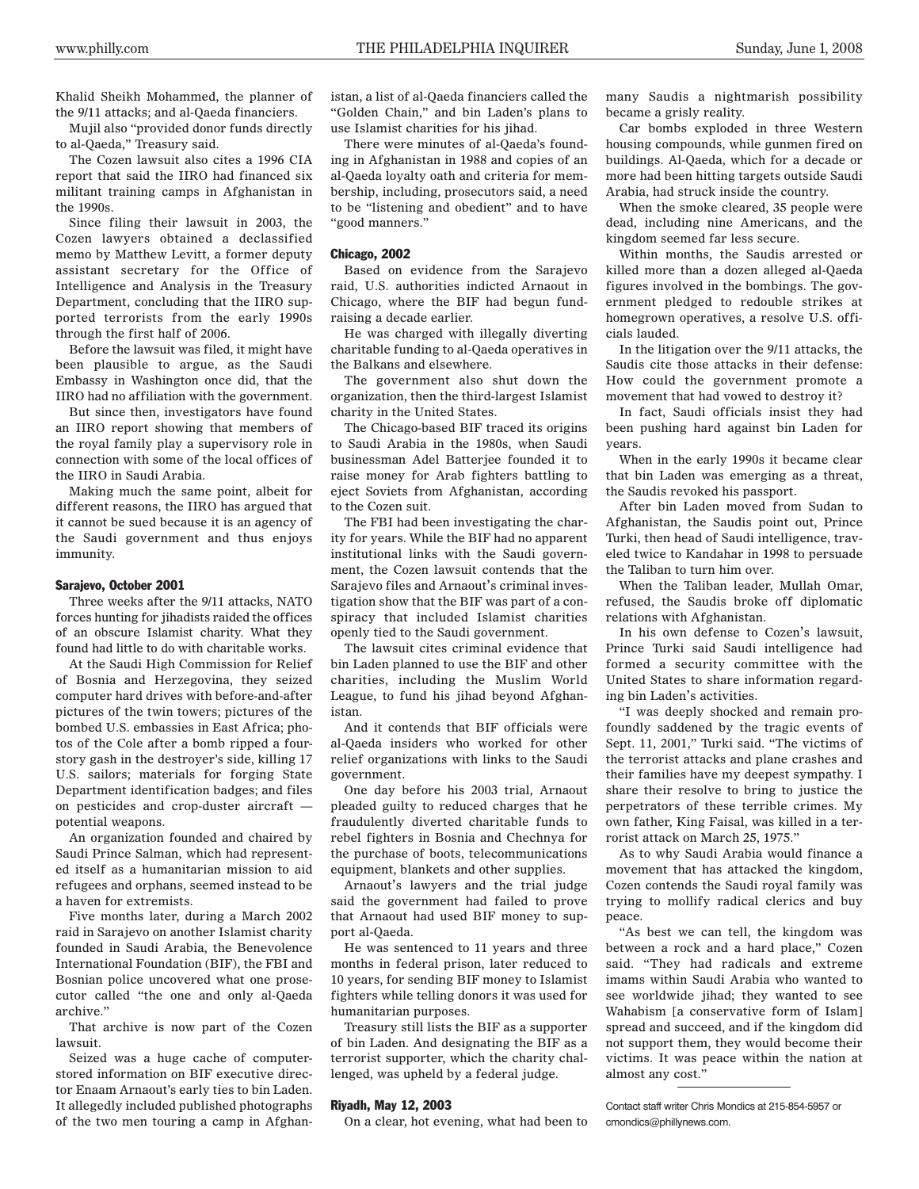# ww.philly.com THE PHILADELPHIA INQUIRER Sunday, June 1, 2008

I Dr

Single

For

Khalid Sheikh Mohammed, the planner of the 9/11 attacks; and al-Qaeda financiers.

Mujil also "provided donor funds directly to al-Qaeda," Treasury said.

The Cozen lawsuit also cites a 1996 CIA report that said the IIRO had financed six militant training camps in Afghanistan in the 1990s.

Since filing their lawsuit in 2003, the Cozen lawyers obtained a declassified memo by Matthew Levitt, a former deputy assistant secretary for the Office of Intelligence and Analysis in the Treasury Department, concluding that the IIRO supported terrorists from the early 1990s through the first half of 2006.

Before the lawsuit was filed, it might have been plausible to argue, as the Saudi Embassy in Washington once did, that the IIRO had no affiliation with the government.

But since then, investigators have found an IIRO report showing that members of the royal family play a supervisory role in connection with some of the local offices of the IIRO in Saudi Arabia.

Making much the same point, albeit for different reasons, the IIRO has argued that it cannot be sued because it is an agency of the Saudi government and thus enjoys immunity.

#### Sarajevo, October 2001

Three weeks after the 9/11 attacks, NATO forces hunting for jihadists raided the offices of an obscure Islamist charity. What they found had little to do with charitable works.

At the Saudi High Commission for Relief of Bosnia and Herzegovina, they seized computer hard drives with before-and-after pictures of the twin towers; pictures of the bombed U.S. embassies in East Africa; photos of the Cole after a bomb ripped a fourstory gash in the destroyer's side, killing 17 U.S. sailors; materials for forging State Department identification badges; and files on pesticides and crop-duster aircraft potential weapons.

An organization founded and chaired by Saudi Prince Salman, which had represented itself as a humanitarian mission to aid refugees and orphans, seemed instead to be a haven for extremists.

Five months later, during a March 2002 raid in Sarajevo on another Islamist charity founded in Saudi Arabia, the Benevolence International Foundation (BIF), the FBI and Bosnian police uncovered what one prosecutor called "the one and only al-Qaeda archive."

That archive is now part of the Cozen lawsuit.

Seized was a huge cache of computerstored information on BIF executive director Enaam Arnaout's early ties to bin Laden. It allegedly included published photographs of the two men touring a camp in Afghanistan, a list of al-Qaeda financiers called the "Golden Chain," and bin Laden's plans to use Islamist charities for his jihad.

There were minutes of al-Qaeda's founding in Afghanistan in 1988 and copies of an al-Qaeda loyalty oath and criteria for membership, including, prosecutors said, a need to be "listening and obedient" and to have "good manners."

## Chicago, 2002

Based on evidence from the Sarajevo raid, U.S. authorities indicted Arnaout in Chicago, where the BIF had begun fundraising a decade earlier.

He was charged with illegally diverting charitable funding to al-Qaeda operatives in the Balkans and elsewhere.

The government also shut down the organization, then the third-largest Islamist charity in the United States.

The Chicago-based BIF traced its origins to Saudi Arabia in the 1980s, when Saudi businessman Adel Batterjee founded it to raise money for Arab fighters battling to eject Soviets from Afghanistan, according to the Cozen suit.

The FBI had been investigating the charity for years. While the BIF had no apparent institutional links with the Saudi government, the Cozen lawsuit contends that the Sarajevo files and Arnaout's criminal investigation show that the BIF was part of a conspiracy that included Islamist charities openly tied to the Saudi government.

The lawsuit cites criminal evidence that bin Laden planned to use the BIF and other charities, including the Muslim World League, to fund his jihad beyond Afghanistan.

And it contends that BIF officials were al-Qaeda insiders who worked for other relief organizations with links to the Saudi government.

One day before his 2003 trial, Arnaout pleaded guilty to reduced charges that he fraudulently diverted charitable funds to rebel fighters in Bosnia and Chechnya for the purchase of boots, telecommunications equipment, blankets and other supplies.

Arnaout's lawyers and the trial judge said the government had failed to prove that Arnaout had used BIF money to support al-Qaeda.

He was sentenced to 11 years and three months in federal prison, later reduced to 10 years, for sending BIF money to Islamist fighters while telling donors it was used for humanitarian purposes.

Treasury still lists the BIF as a supporter of bin Laden. And designating the BIF as a terrorist supporter, which the charity challenged, was upheld by a federal judge.

## Riyadh, May 12, 2003

On a clear, hot evening, what had been to

many Saudis a nightmarish possibility became a grisly reality.

Car bombs exploded in three Western housing compounds, while gunmen fired on buildings. Al-Qaeda, which for a decade or more had been hitting targets outside Saudi Arabia, had struck inside the country.

When the smoke cleared, 35 people were dead, including nine Americans, and the kingdom seemed far less secure.

Within months, the Saudis arrested or killed more than a dozen alleged al-Qaeda figures involved in the bombings. The government pledged to redouble strikes at homegrown operatives, a resolve U.S. officials lauded.

In the litigation over the 9/11 attacks, the Saudis cite those attacks in their defense: How could the government promote a movement that had vowed to destroy it?

In fact, Saudi officials insist they had been pushing hard against bin Laden for years.

When in the early 1990s it became clear that bin Laden was emerging as a threat, the Saudis revoked his passport.

After bin Laden moved from Sudan to Afghanistan, the Saudis point out, Prince Turki, then head of Saudi intelligence, traveled twice to Kandahar in 1998 to persuade the Taliban to turn him over.

When the Taliban leader, Mullah Omar, refused, the Saudis broke off diplomatic relations with Afghanistan.

In his own defense to Cozen's lawsuit, Prince Turki said Saudi intelligence had formed a security committee with the United States to share information regarding bin Laden's activities.

"I was deeply shocked and remain profoundly saddened by the tragic events of Sept. 11, 2001," Turki said. "The victims of the terrorist attacks and plane crashes and their families have my deepest sympathy. I share their resolve to bring to justice the perpetrators of these terrible crimes. My own father, King Faisal, was killed in a terrorist attack on March 25, 1975."

As to why Saudi Arabia would finance a movement that has attacked the kingdom, Cozen contends the Saudi royal family was trying to mollify radical clerics and buy peace.

"As best we can tell, the kingdom was between a rock and a hard place," Cozen said. "They had radicals and extreme imams within Saudi Arabia who wanted to see worldwide jihad; they wanted to see Wahabism [a conservative form of Islam] spread and succeed, and if the kingdom did not support them, they would become their victims. It was peace within the nation at almost any cost."

Contact staff writer Chris Mondics at 215-854-5957 or cmondics@phillynews.com.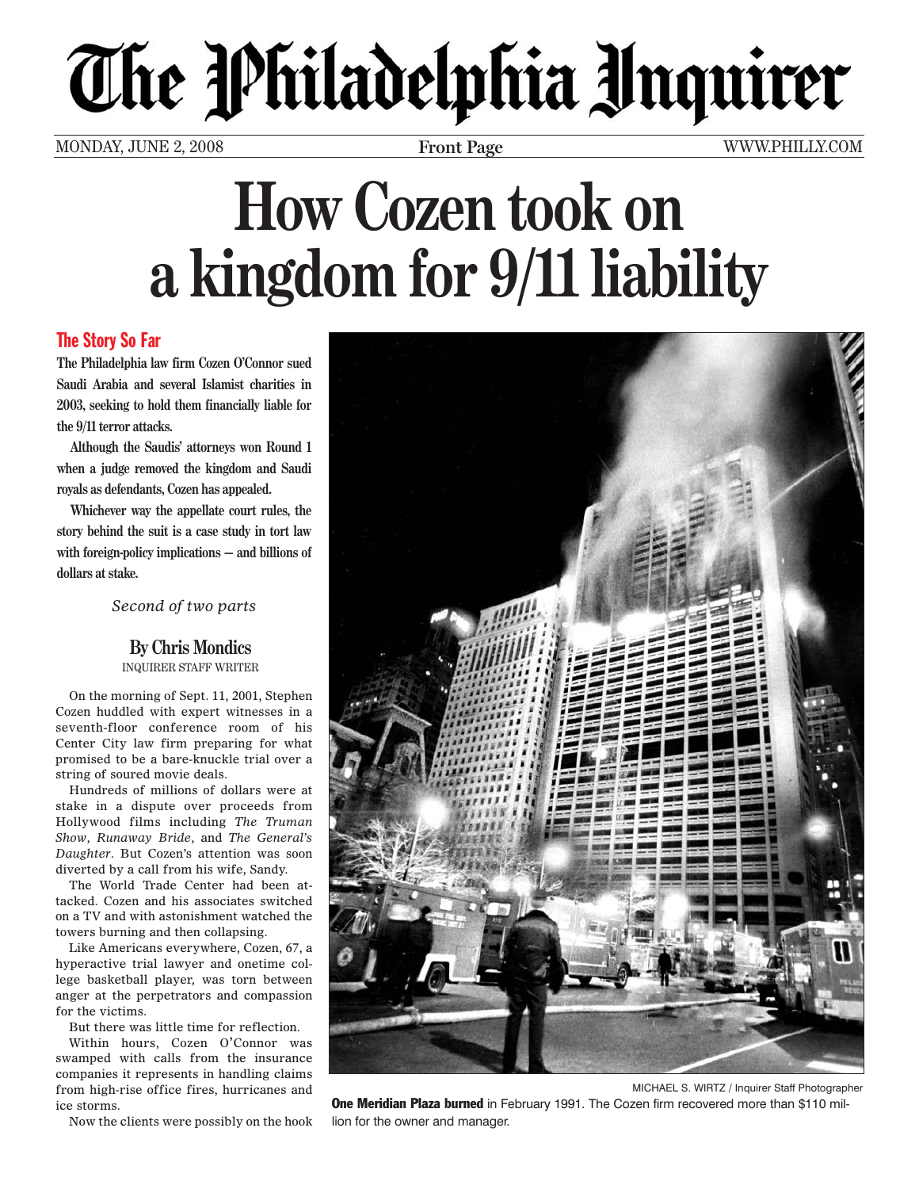# The Philadelphia Unquirer

MONDAY, JUNE 2, 2008 **Front Page** [WWW.PHILLY.COM](www.philly.com)

# **How Cozen took on a kingdom for 9/11 liability**

# The Story So Far

**The Philadelphia law firm Cozen O'Connor sued Saudi Arabia and several Islamist charities in 2003, seeking to hold them financially liable for the 9/11 terror attacks.**

**Although the Saudis' attorneys won Round 1 when a judge removed the kingdom and Saudi royals as defendants, Cozen has appealed.**

**Whichever way the appellate court rules, the story behind the suit is a case study in tort law with foreign-policy implications — and billions of dollars at stake.**

*Second of two parts*

# **By Chris Mondics**

INQUIRER STAFF WRITER

On the morning of Sept. 11, 2001, Stephen Cozen huddled with expert witnesses in a seventh-floor conference room of his Center City law firm preparing for what promised to be a bare-knuckle trial over a string of soured movie deals.

Hundreds of millions of dollars were at stake in a dispute over proceeds from Hollywood films including *The Truman Show*, *Runaway Bride*, and *The General's Daughter*. But Cozen's attention was soon diverted by a call from his wife, Sandy.

The World Trade Center had been attacked. Cozen and his associates switched on a TV and with astonishment watched the towers burning and then collapsing.

Like Americans everywhere, Cozen, 67, a hyperactive trial lawyer and onetime college basketball player, was torn between anger at the perpetrators and compassion for the victims.

But there was little time for reflection.

Within hours, Cozen O'Connor was swamped with calls from the insurance companies it represents in handling claims from high-rise office fires, hurricanes and ice storms.

Now the clients were possibly on the hook



MICHAEL S. WIRTZ / Inquirer Staff Photographer

One Meridian Plaza burned in February 1991. The Cozen firm recovered more than \$110 million for the owner and manager.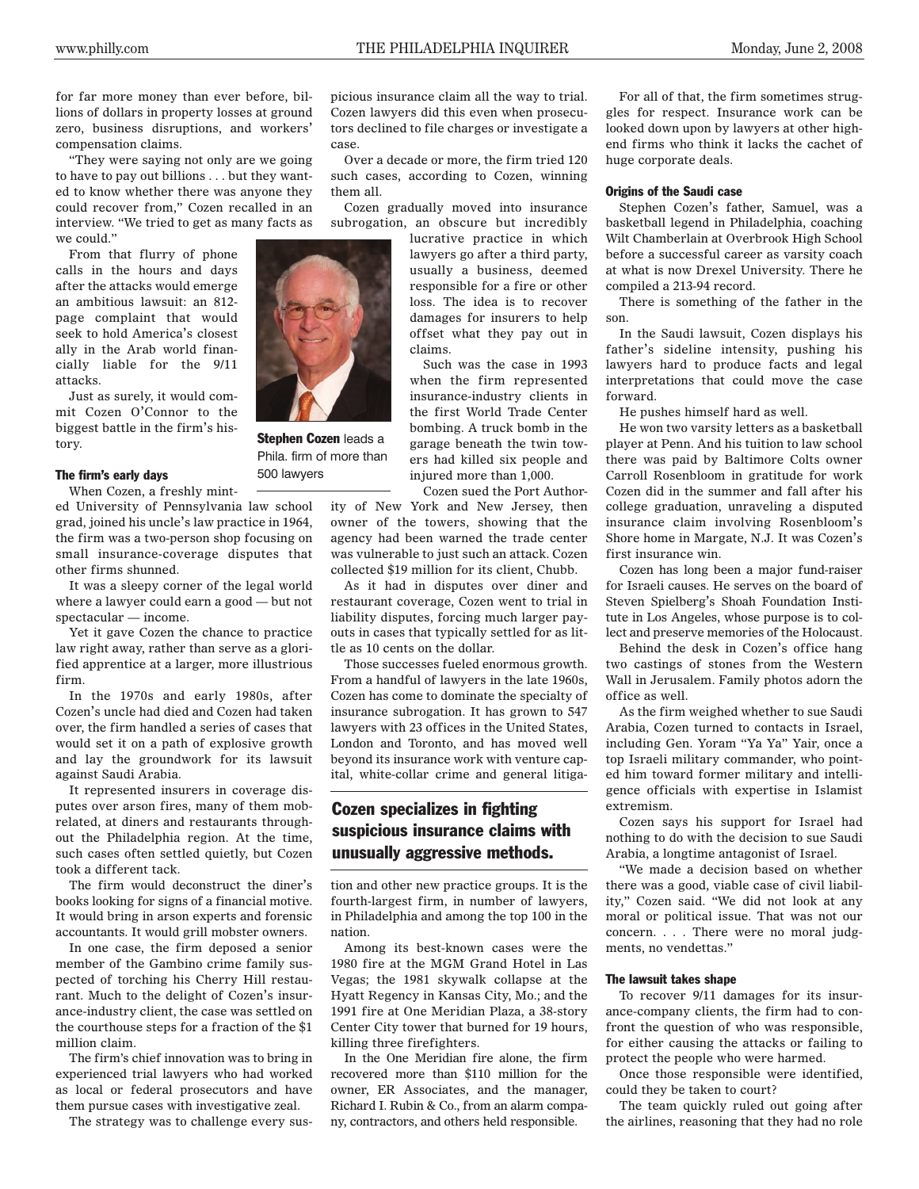# ww.philly.com THE PHILADELPHIA INQUIRER Monday, June 2, 2008

l Draimath

Single

for far more money than ever before, billions of dollars in property losses at ground zero, business disruptions, and workers' compensation claims.

"They were saying not only are we going to have to pay out billions . . . but they wanted to know whether there was anyone they could recover from," Cozen recalled in an interview. "We tried to get as many facts as we could."

From that flurry of phone calls in the hours and days after the attacks would emerge an ambitious lawsuit: an 812 page complaint that would seek to hold America's closest ally in the Arab world financially liable for the 9/11 attacks.

Just as surely, it would commit Cozen O'Connor to the biggest battle in the firm's history.

#### The firm's early days

When Cozen, a freshly minted University of Pennsylvania law school grad, joined his uncle's law practice in 1964, the firm was a two-person shop focusing on small insurance-coverage disputes that other firms shunned.

It was a sleepy corner of the legal world where a lawyer could earn a good — but not spectacular — income.

Yet it gave Cozen the chance to practice law right away, rather than serve as a glorified apprentice at a larger, more illustrious firm.

In the 1970s and early 1980s, after Cozen's uncle had died and Cozen had taken over, the firm handled a series of cases that would set it on a path of explosive growth and lay the groundwork for its lawsuit against Saudi Arabia.

It represented insurers in coverage disputes over arson fires, many of them mobrelated, at diners and restaurants throughout the Philadelphia region. At the time, such cases often settled quietly, but Cozen took a different tack.

The firm would deconstruct the diner's books looking for signs of a financial motive. It would bring in arson experts and forensic accountants. It would grill mobster owners.

In one case, the firm deposed a senior member of the Gambino crime family suspected of torching his Cherry Hill restaurant. Much to the delight of Cozen's insurance-industry client, the case was settled on the courthouse steps for a fraction of the \$1 million claim.

The firm's chief innovation was to bring in experienced trial lawyers who had worked as local or federal prosecutors and have them pursue cases with investigative zeal.

The strategy was to challenge every sus-

picious insurance claim all the way to trial. Cozen lawyers did this even when prosecutors declined to file charges or investigate a case.

Over a decade or more, the firm tried 120 such cases, according to Cozen, winning them all.

Cozen gradually moved into insurance subrogation, an obscure but incredibly

> lucrative practice in which lawyers go after a third party, usually a business, deemed responsible for a fire or other loss. The idea is to recover damages for insurers to help offset what they pay out in claims.

Such was the case in 1993 when the firm represented insurance-industry clients in the first World Trade Center bombing. A truck bomb in the garage beneath the twin towers had killed six people and injured more than 1,000.

Cozen sued the Port Authority of New York and New Jersey, then owner of the towers, showing that the agency had been warned the trade center was vulnerable to just such an attack. Cozen collected \$19 million for its client, Chubb.

As it had in disputes over diner and restaurant coverage, Cozen went to trial in liability disputes, forcing much larger payouts in cases that typically settled for as little as 10 cents on the dollar.

Those successes fueled enormous growth. From a handful of lawyers in the late 1960s, Cozen has come to dominate the specialty of insurance subrogation. It has grown to 547 lawyers with 23 offices in the United States, London and Toronto, and has moved well beyond its insurance work with venture capital, white-collar crime and general litiga-

# Cozen specializes in fighting suspicious insurance claims with unusually aggressive methods.

tion and other new practice groups. It is the fourth-largest firm, in number of lawyers, in Philadelphia and among the top 100 in the nation.

Among its best-known cases were the 1980 fire at the MGM Grand Hotel in Las Vegas; the 1981 skywalk collapse at the Hyatt Regency in Kansas City, Mo.; and the 1991 fire at One Meridian Plaza, a 38-story Center City tower that burned for 19 hours, killing three firefighters.

In the One Meridian fire alone, the firm recovered more than \$110 million for the owner, ER Associates, and the manager, Richard I. Rubin & Co., from an alarm company, contractors, and others held responsible.

For all of that, the firm sometimes struggles for respect. Insurance work can be looked down upon by lawyers at other highend firms who think it lacks the cachet of huge corporate deals.

### Origins of the Saudi case

Stephen Cozen's father, Samuel, was a basketball legend in Philadelphia, coaching Wilt Chamberlain at Overbrook High School before a successful career as varsity coach at what is now Drexel University. There he compiled a 213-94 record.

There is something of the father in the son.

In the Saudi lawsuit, Cozen displays his father's sideline intensity, pushing his lawyers hard to produce facts and legal interpretations that could move the case forward.

He pushes himself hard as well.

He won two varsity letters as a basketball player at Penn. And his tuition to law school there was paid by Baltimore Colts owner Carroll Rosenbloom in gratitude for work Cozen did in the summer and fall after his college graduation, unraveling a disputed insurance claim involving Rosenbloom's Shore home in Margate, N.J. It was Cozen's first insurance win.

Cozen has long been a major fund-raiser for Israeli causes. He serves on the board of Steven Spielberg's Shoah Foundation Institute in Los Angeles, whose purpose is to collect and preserve memories of the Holocaust.

Behind the desk in Cozen's office hang two castings of stones from the Western Wall in Jerusalem. Family photos adorn the office as well.

As the firm weighed whether to sue Saudi Arabia, Cozen turned to contacts in Israel, including Gen. Yoram "Ya Ya" Yair, once a top Israeli military commander, who pointed him toward former military and intelligence officials with expertise in Islamist extremism.

Cozen says his support for Israel had nothing to do with the decision to sue Saudi Arabia, a longtime antagonist of Israel.

"We made a decision based on whether there was a good, viable case of civil liability," Cozen said. "We did not look at any moral or political issue. That was not our concern. . . . There were no moral judgments, no vendettas."

### The lawsuit takes shape

To recover 9/11 damages for its insurance-company clients, the firm had to confront the question of who was responsible, for either causing the attacks or failing to protect the people who were harmed.

Once those responsible were identified, could they be taken to court?

The team quickly ruled out going after the airlines, reasoning that they had no role



 $F$ 

Stephen Cozen leads a Phila. firm of more than

500 lawyers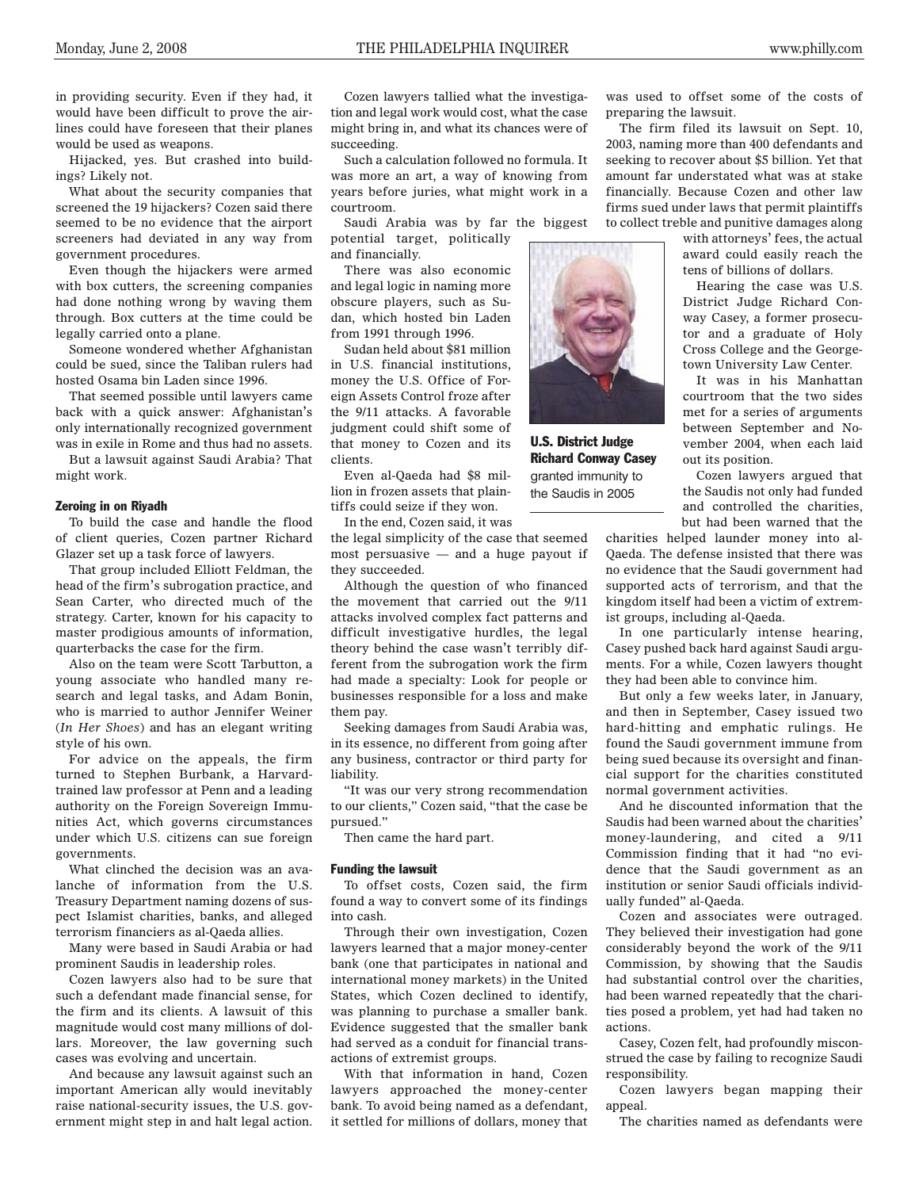# Monday, June 2, 2008 THE PHILADELPHIA INQUIRER<www.philly.com>

**Dra** 

in providing security. Even if they had, it would have been difficult to prove the airlines could have foreseen that their planes would be used as weapons.

Hijacked, yes. But crashed into buildings? Likely not.

What about the security companies that screened the 19 hijackers? Cozen said there seemed to be no evidence that the airport screeners had deviated in any way from government procedures.

Even though the hijackers were armed with box cutters, the screening companies had done nothing wrong by waving them through. Box cutters at the time could be legally carried onto a plane.

Someone wondered whether Afghanistan could be sued, since the Taliban rulers had hosted Osama bin Laden since 1996.

That seemed possible until lawyers came back with a quick answer: Afghanistan's only internationally recognized government was in exile in Rome and thus had no assets.

But a lawsuit against Saudi Arabia? That might work.

#### Zeroing in on Riyadh

To build the case and handle the flood of client queries, Cozen partner Richard Glazer set up a task force of lawyers.

That group included Elliott Feldman, the head of the firm's subrogation practice, and Sean Carter, who directed much of the strategy. Carter, known for his capacity to master prodigious amounts of information, quarterbacks the case for the firm.

Also on the team were Scott Tarbutton, a young associate who handled many research and legal tasks, and Adam Bonin, who is married to author Jennifer Weiner (*In Her Shoes*) and has an elegant writing style of his own.

For advice on the appeals, the firm turned to Stephen Burbank, a Harvardtrained law professor at Penn and a leading authority on the Foreign Sovereign Immunities Act, which governs circumstances under which U.S. citizens can sue foreign governments.

What clinched the decision was an avalanche of information from the U.S. Treasury Department naming dozens of suspect Islamist charities, banks, and alleged terrorism financiers as al-Qaeda allies.

Many were based in Saudi Arabia or had prominent Saudis in leadership roles.

Cozen lawyers also had to be sure that such a defendant made financial sense, for the firm and its clients. A lawsuit of this magnitude would cost many millions of dollars. Moreover, the law governing such cases was evolving and uncertain.

And because any lawsuit against such an important American ally would inevitably raise national-security issues, the U.S. government might step in and halt legal action.

Cozen lawyers tallied what the investigation and legal work would cost, what the case might bring in, and what its chances were of succeeding.

Such a calculation followed no formula. It was more an art, a way of knowing from years before juries, what might work in a courtroom.

Saudi Arabia was by far the biggest potential target, politically and financially.

There was also economic and legal logic in naming more obscure players, such as Sudan, which hosted bin Laden from 1991 through 1996.

Sudan held about \$81 million in U.S. financial institutions, money the U.S. Office of Foreign Assets Control froze after the 9/11 attacks. A favorable judgment could shift some of that money to Cozen and its clients.

Even al-Qaeda had \$8 million in frozen assets that plaintiffs could seize if they won.

In the end, Cozen said, it was

the legal simplicity of the case that seemed most persuasive — and a huge payout if they succeeded.

Although the question of who financed the movement that carried out the 9/11 attacks involved complex fact patterns and difficult investigative hurdles, the legal theory behind the case wasn't terribly different from the subrogation work the firm had made a specialty: Look for people or businesses responsible for a loss and make them pay.

Seeking damages from Saudi Arabia was, in its essence, no different from going after any business, contractor or third party for liability.

"It was our very strong recommendation to our clients," Cozen said, "that the case be pursued."

Then came the hard part.

# Funding the lawsuit

To offset costs, Cozen said, the firm found a way to convert some of its findings into cash.

Through their own investigation, Cozen lawyers learned that a major money-center bank (one that participates in national and international money markets) in the United States, which Cozen declined to identify, was planning to purchase a smaller bank. Evidence suggested that the smaller bank had served as a conduit for financial transactions of extremist groups.

With that information in hand, Cozen lawyers approached the money-center bank. To avoid being named as a defendant, it settled for millions of dollars, money that

was used to offset some of the costs of preparing the lawsuit.

The firm filed its lawsuit on Sept. 10, 2003, naming more than 400 defendants and seeking to recover about \$5 billion. Yet that amount far understated what was at stake financially. Because Cozen and other law firms sued under laws that permit plaintiffs to collect treble and punitive damages along

> with attorneys' fees, the actual award could easily reach the tens of billions of dollars.

> Hearing the case was U.S. District Judge Richard Conway Casey, a former prosecutor and a graduate of Holy Cross College and the Georgetown University Law Center.

> It was in his Manhattan courtroom that the two sides met for a series of arguments between September and November 2004, when each laid out its position.

Cozen lawyers argued that the Saudis not only had funded and controlled the charities, but had been warned that the

charities helped launder money into al-Qaeda. The defense insisted that there was no evidence that the Saudi government had supported acts of terrorism, and that the kingdom itself had been a victim of extremist groups, including al-Qaeda.

In one particularly intense hearing, Casey pushed back hard against Saudi arguments. For a while, Cozen lawyers thought they had been able to convince him.

But only a few weeks later, in January, and then in September, Casey issued two hard-hitting and emphatic rulings. He found the Saudi government immune from being sued because its oversight and financial support for the charities constituted normal government activities.

And he discounted information that the Saudis had been warned about the charities' money-laundering, and cited a 9/11 Commission finding that it had "no evidence that the Saudi government as an institution or senior Saudi officials individually funded" al-Qaeda.

Cozen and associates were outraged. They believed their investigation had gone considerably beyond the work of the 9/11 Commission, by showing that the Saudis had substantial control over the charities, had been warned repeatedly that the charities posed a problem, yet had had taken no actions.

Casey, Cozen felt, had profoundly misconstrued the case by failing to recognize Saudi responsibility.

Cozen lawyers began mapping their appeal.

The charities named as defendants were



U.S. District Judge Richard Conway Casey granted immunity to the Saudis in 2005